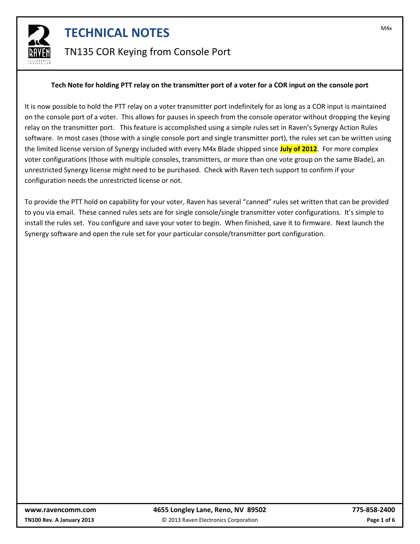

### TN135 COR Keying from Console Port

#### **Tech Note for holding PTT relay on the transmitter port of a voter for a COR input on the console port**

It is now possible to hold the PTT relay on a voter transmitter port indefinitely for as long as a COR input is maintained on the console port of a voter. This allows for pauses in speech from the console operator without dropping the keying relay on the transmitter port. This feature is accomplished using a simple rules set in Raven's Synergy Action Rules software. In most cases (those with a single console port and single transmitter port), the rules set can be written using the limited license version of Synergy included with every M4x Blade shipped since **July of 2012**. For more complex voter configurations (those with multiple consoles, transmitters, or more than one vote group on the same Blade), an unrestricted Synergy license might need to be purchased. Check with Raven tech support to confirm if your configuration needs the unrestricted license or not.

To provide the PTT hold on capability for your voter, Raven has several "canned" rules set written that can be provided to you via email. These canned rules sets are for single console/single transmitter voter configurations. It's simple to install the rules set. You configure and save your voter to begin. When finished, save it to firmware. Next launch the Synergy software and open the rule set for your particular console/transmitter port configuration.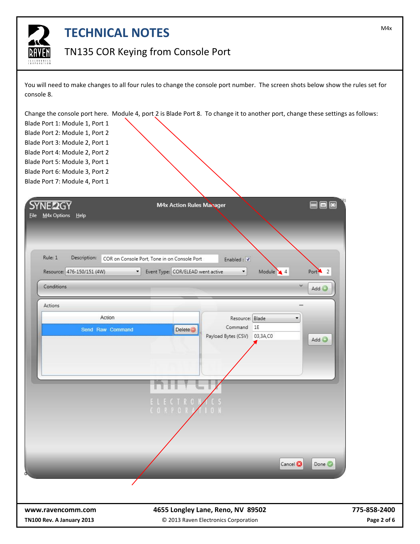

#### TN135 COR Keying from Console Port

You will need to make changes to all four rules to change the console port number. The screen shots below show the rules set for console 8.

Change the console port here. Module 4, port 2 is Blade Port 8. To change it to another port, change these settings as follows:

Blade Port 1: Module 1, Port 1 Blade Port 2: Module 1, Port 2 Blade Port 3: Module 2, Port 1 Blade Port 4: Module 2, Port 2 Blade Port 5: Module 3, Port 1 Blade Port 6: Module 3, Port 2 Blade Port 7: Module 4, Port 1

| <b>SYNE22GY</b><br>M4x Options Help<br>Eile                         | $\Box$<br><b>M4x Action Rules Manager</b><br>⊟                                                                                                                                                      | x                           |
|---------------------------------------------------------------------|-----------------------------------------------------------------------------------------------------------------------------------------------------------------------------------------------------|-----------------------------|
| Rule: 1<br>Description:<br>Resource: 476-150/151 (4W)<br>Conditions | COR on Console Port, Tone in on Console Port<br>Enabled: J<br>Event Type: COR/ELEAD went active<br>Module $\bigvee$ 4<br>Port $\overline{2}$<br>$\blacktriangledown$<br>$\blacktriangledown$<br>Add |                             |
| Actions<br>Action<br>Send Raw Command                               | Resource: Blade<br>Command 1E<br><b>Delete</b><br>Payload Bytes (CSV) 03,3A,C0<br>Add<br>. ECTRO<br>CORPO                                                                                           |                             |
| www.ravencomm.com<br>TN100 Rev. A January 2013                      | Cancel <sup>®</sup><br>Done <sup>O</sup><br>4655 Longley Lane, Reno, NV 89502<br>© 2013 Raven Electronics Corporation                                                                               | 775-858-2400<br>Page 2 of 6 |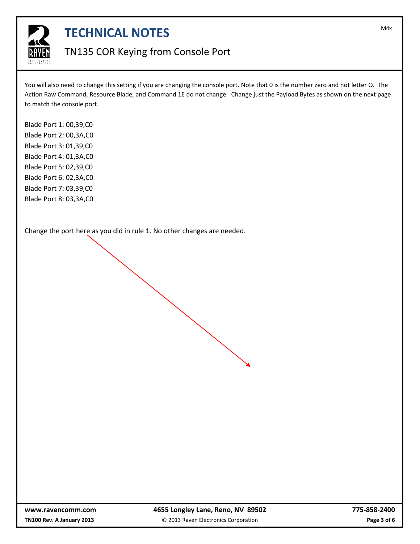

#### TN135 COR Keying from Console Port

You will also need to change this setting if you are changing the console port. Note that 0 is the number zero and not letter O. The Action Raw Command, Resource Blade, and Command 1E do not change. Change just the Payload Bytes as shown on the next page to match the console port.

Blade Port 1: 00,39,C0 Blade Port 2: 00,3A,C0 Blade Port 3: 01,39,C0 Blade Port 4: 01,3A,C0 Blade Port 5: 02,39,C0 Blade Port 6: 02,3A,C0 Blade Port 7: 03,39,C0 Blade Port 8: 03,3A,C0

Change the port here as you did in rule 1. No other changes are needed.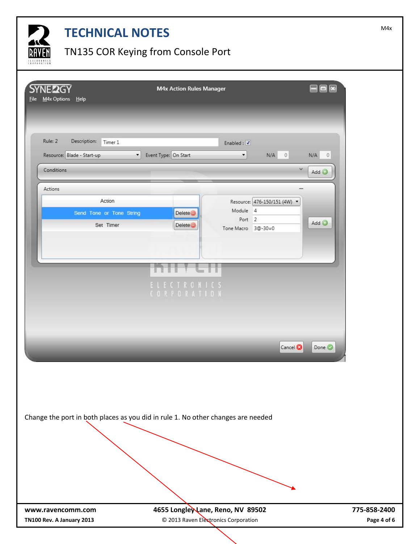

# TN135 COR Keying from Console Port

| <b>SYNE 2GY</b><br>File M4x Options Help       |                                                                                                          | <b>M4x Action Rules Manager</b>                                           |                                                                                                                                                                  | $\Box$ $\times$                     |                             |
|------------------------------------------------|----------------------------------------------------------------------------------------------------------|---------------------------------------------------------------------------|------------------------------------------------------------------------------------------------------------------------------------------------------------------|-------------------------------------|-----------------------------|
| Rule: 2<br>Conditions<br>Actions               | Description:<br>Timer 1<br>Resource: Blade - Start-up<br>Action<br>Send Tone or Tone String<br>Set Timer | V Event Type: On Start<br><b>Delete</b><br><b>Delete</b>                  | Enabled : $\overline{\mathbf{J}}$<br>$N/A$ 0<br>$\blacktriangledown$<br>$\checkmark$<br>Resource: 476-150/151 (4W) ▼<br>Module 4<br>Port 2<br>Tone Macro 3@-30=0 | N/A<br>$\overline{0}$<br>Add<br>Add |                             |
|                                                |                                                                                                          | ELECTRONICS<br>CORPORATION                                                | Cancel <sup>®</sup>                                                                                                                                              | Done <sup>O</sup>                   |                             |
|                                                | Change the port in both places as you did in rule 1. No other changes are needed                         |                                                                           |                                                                                                                                                                  |                                     |                             |
| www.ravencomm.com<br>TN100 Rev. A January 2013 |                                                                                                          | 4655 Longley Lane, Reno, NV 89502<br>© 2013 Raven Electronics Corporation |                                                                                                                                                                  |                                     | 775-858-2400<br>Page 4 of 6 |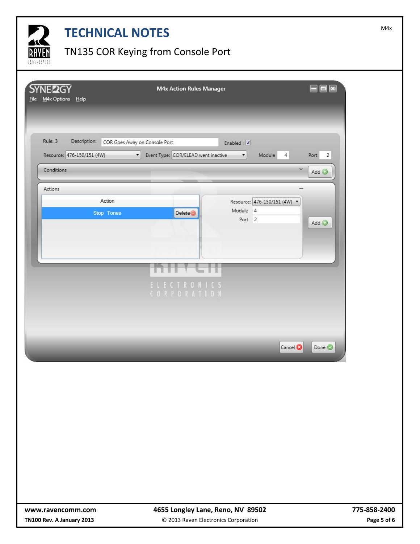

## TN135 COR Keying from Console Port

| <b>SYNE22GY</b><br>File M4x Options Help              | M4x Action Rules Manager                                                                                                      | $ \Box$ $\mathbf{x}$                      |
|-------------------------------------------------------|-------------------------------------------------------------------------------------------------------------------------------|-------------------------------------------|
|                                                       |                                                                                                                               |                                           |
| Rule: 3<br>Description:<br>Resource: 476-150/151 (4W) | COR Goes Away on Console Port<br>Enabled: $\sqrt{ }$<br>Event Type: COR/ELEAD went inactive<br>Module<br>$\blacktriangledown$ | $\overline{2}$<br>Port                    |
| Conditions                                            |                                                                                                                               | $\sqrt{4}$<br>$\checkmark$<br>Add $\odot$ |
| Actions                                               |                                                                                                                               |                                           |
| Action                                                | Resource: 476-150/151 (4W) •<br>Module 4                                                                                      |                                           |
| Stop Tones                                            | <b>Delete</b><br>Port 2                                                                                                       | Add                                       |
|                                                       |                                                                                                                               |                                           |
|                                                       |                                                                                                                               |                                           |
|                                                       |                                                                                                                               |                                           |
|                                                       | ELECTRONICS<br>CORPORATION                                                                                                    |                                           |
|                                                       |                                                                                                                               |                                           |
|                                                       |                                                                                                                               |                                           |
|                                                       |                                                                                                                               | Cancel <sup>®</sup><br>Done <sup>O</sup>  |
|                                                       |                                                                                                                               |                                           |
|                                                       |                                                                                                                               |                                           |
|                                                       |                                                                                                                               |                                           |
|                                                       |                                                                                                                               |                                           |
|                                                       |                                                                                                                               |                                           |
|                                                       |                                                                                                                               |                                           |
|                                                       |                                                                                                                               |                                           |
|                                                       |                                                                                                                               |                                           |
| www.ravencomm.com                                     | 4655 Longley Lane, Reno, NV 89502                                                                                             | 775-858-2400                              |
| TN100 Rev. A January 2013                             | © 2013 Raven Electronics Corporation                                                                                          | Page 5 of 6                               |